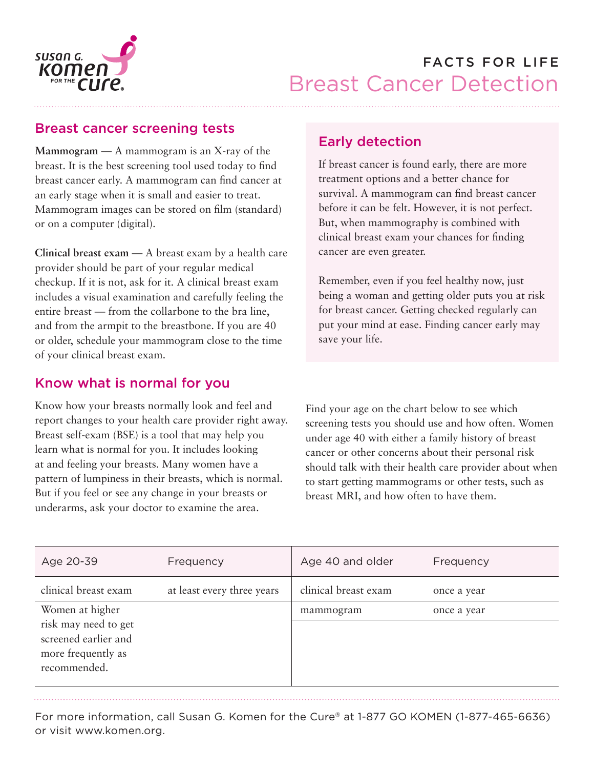

### Breast cancer screening tests

**Mammogram** — A mammogram is an X-ray of the breast. It is the best screening tool used today to find breast cancer early. A mammogram can find cancer at an early stage when it is small and easier to treat. Mammogram images can be stored on film (standard) or on a computer (digital).

**Clinical breast exam** — A breast exam by a health care provider should be part of your regular medical checkup. If it is not, ask for it. A clinical breast exam includes a visual examination and carefully feeling the entire breast — from the collarbone to the bra line, and from the armpit to the breastbone. If you are 40 or older, schedule your mammogram close to the time of your clinical breast exam.

## Know what is normal for you

Know how your breasts normally look and feel and report changes to your health care provider right away. Breast self-exam (BSE) is a tool that may help you learn what is normal for you. It includes looking at and feeling your breasts. Many women have a pattern of lumpiness in their breasts, which is normal. But if you feel or see any change in your breasts or underarms, ask your doctor to examine the area.

## Early detection

If breast cancer is found early, there are more treatment options and a better chance for survival. A mammogram can find breast cancer before it can be felt. However, it is not perfect. But, when mammography is combined with clinical breast exam your chances for finding cancer are even greater.

Remember, even if you feel healthy now, just being a woman and getting older puts you at risk for breast cancer. Getting checked regularly can put your mind at ease. Finding cancer early may save your life.

Find your age on the chart below to see which screening tests you should use and how often. Women under age 40 with either a family history of breast cancer or other concerns about their personal risk should talk with their health care provider about when to start getting mammograms or other tests, such as breast MRI, and how often to have them.

| Age 20-39                                                                                             | Frequency                  | Age 40 and older     | Frequency   |
|-------------------------------------------------------------------------------------------------------|----------------------------|----------------------|-------------|
| clinical breast exam                                                                                  | at least every three years | clinical breast exam | once a year |
| Women at higher<br>risk may need to get<br>screened earlier and<br>more frequently as<br>recommended. |                            | mammogram            | once a year |

For more information, call Susan G. Komen for the Cure® at 1-877 GO KOMEN (1-877-465-6636) or visit www.komen.org.